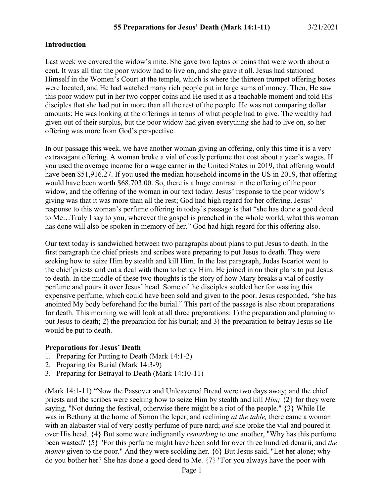#### **Introduction**

Last week we covered the widow's mite. She gave two leptos or coins that were worth about a cent. It was all that the poor widow had to live on, and she gave it all. Jesus had stationed Himself in the Women's Court at the temple, which is where the thirteen trumpet offering boxes were located, and He had watched many rich people put in large sums of money. Then, He saw this poor widow put in her two copper coins and He used it as a teachable moment and told His disciples that she had put in more than all the rest of the people. He was not comparing dollar amounts; He was looking at the offerings in terms of what people had to give. The wealthy had given out of their surplus, but the poor widow had given everything she had to live on, so her offering was more from God's perspective.

In our passage this week, we have another woman giving an offering, only this time it is a very extravagant offering. A woman broke a vial of costly perfume that cost about a year's wages. If you used the average income for a wage earner in the United States in 2019, that offering would have been \$51,916.27. If you used the median household income in the US in 2019, that offering would have been worth \$68,703.00. So, there is a huge contrast in the offering of the poor widow, and the offering of the woman in our text today. Jesus' response to the poor widow's giving was that it was more than all the rest; God had high regard for her offering. Jesus' response to this woman's perfume offering in today's passage is that "she has done a good deed to Me…Truly I say to you, wherever the gospel is preached in the whole world, what this woman has done will also be spoken in memory of her." God had high regard for this offering also.

Our text today is sandwiched between two paragraphs about plans to put Jesus to death. In the first paragraph the chief priests and scribes were preparing to put Jesus to death. They were seeking how to seize Him by stealth and kill Him. In the last paragraph, Judas Iscariot went to the chief priests and cut a deal with them to betray Him. He joined in on their plans to put Jesus to death. In the middle of these two thoughts is the story of how Mary breaks a vial of costly perfume and pours it over Jesus' head. Some of the disciples scolded her for wasting this expensive perfume, which could have been sold and given to the poor. Jesus responded, "she has anointed My body beforehand for the burial." This part of the passage is also about preparations for death. This morning we will look at all three preparations: 1) the preparation and planning to put Jesus to death; 2) the preparation for his burial; and 3) the preparation to betray Jesus so He would be put to death.

#### **Preparations for Jesus' Death**

- 1. Preparing for Putting to Death (Mark 14:1-2)
- 2. Preparing for Burial (Mark 14:3-9)
- 3. Preparing for Betrayal to Death (Mark 14:10-11)

(Mark 14:1-11) "Now the Passover and Unleavened Bread were two days away; and the chief priests and the scribes were seeking how to seize Him by stealth and kill *Him;* {2} for they were saying, "Not during the festival, otherwise there might be a riot of the people." {3} While He was in Bethany at the home of Simon the leper, and reclining *at the table,* there came a woman with an alabaster vial of very costly perfume of pure nard; *and* she broke the vial and poured it over His head. {4} But some were indignantly *remarking* to one another, "Why has this perfume been wasted? {5} "For this perfume might have been sold for over three hundred denarii, and *the money* given to the poor." And they were scolding her.  $\{6\}$  But Jesus said, "Let her alone; why do you bother her? She has done a good deed to Me. {7} "For you always have the poor with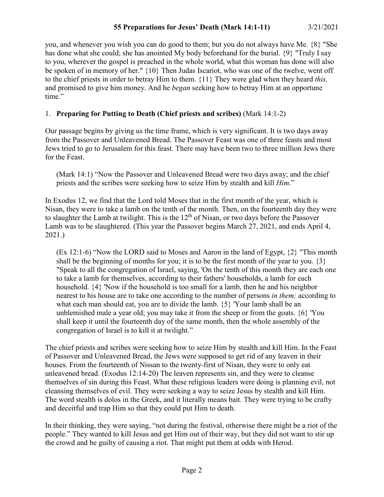you, and whenever you wish you can do good to them; but you do not always have Me. {8} "She has done what she could; she has anointed My body beforehand for the burial. {9} "Truly I say to you, wherever the gospel is preached in the whole world, what this woman has done will also be spoken of in memory of her." {10} Then Judas Iscariot, who was one of the twelve, went off to the chief priests in order to betray Him to them. {11} They were glad when they heard *this,* and promised to give him money. And he *began* seeking how to betray Him at an opportune time."

# 1. **Preparing for Putting to Death (Chief priests and scribes)** (Mark 14:1-2)

Our passage begins by giving us the time frame, which is very significant. It is two days away from the Passover and Unleavened Bread. The Passover Feast was one of three feasts and most Jews tried to go to Jerusalem for this feast. There may have been two to three million Jews there for the Feast.

(Mark 14:1) "Now the Passover and Unleavened Bread were two days away; and the chief priests and the scribes were seeking how to seize Him by stealth and kill *Him*."

In Exodus 12, we find that the Lord told Moses that in the first month of the year, which is Nisan, they were to take a lamb on the tenth of the month. Then, on the fourteenth day they were to slaughter the Lamb at twilight. This is the  $12<sup>th</sup>$  of Nisan, or two days before the Passover Lamb was to be slaughtered. (This year the Passover begins March 27, 2021, and ends April 4, 2021.)

 $(Ex 12:1-6)$  "Now the LORD said to Moses and Aaron in the land of Egypt,  $\{2\}$  "This month" shall be the beginning of months for you; it is to be the first month of the year to you.  $\{3\}$ "Speak to all the congregation of Israel, saying, 'On the tenth of this month they are each one to take a lamb for themselves, according to their fathers' households, a lamb for each household. {4} 'Now if the household is too small for a lamb, then he and his neighbor nearest to his house are to take one according to the number of persons *in them;* according to what each man should eat, you are to divide the lamb. {5} 'Your lamb shall be an unblemished male a year old; you may take it from the sheep or from the goats. {6} 'You shall keep it until the fourteenth day of the same month, then the whole assembly of the congregation of Israel is to kill it at twilight."

The chief priests and scribes were seeking how to seize Him by stealth and kill Him. In the Feast of Passover and Unleavened Bread, the Jews were supposed to get rid of any leaven in their houses. From the fourteenth of Nissan to the twenty-first of Nisan, they were to only eat unleavened bread. (Exodus 12:14-20) The leaven represents sin, and they were to cleanse themselves of sin during this Feast. What these religious leaders were doing is planning evil, not cleansing themselves of evil. They were seeking a way to seize Jesus by stealth and kill Him. The word stealth is dolos in the Greek, and it literally means bait. They were trying to be crafty and deceitful and trap Him so that they could put Him to death.

In their thinking, they were saying, "not during the festival, otherwise there might be a riot of the people." They wanted to kill Jesus and get Him out of their way, but they did not want to stir up the crowd and be guilty of causing a riot. That might put them at odds with Herod.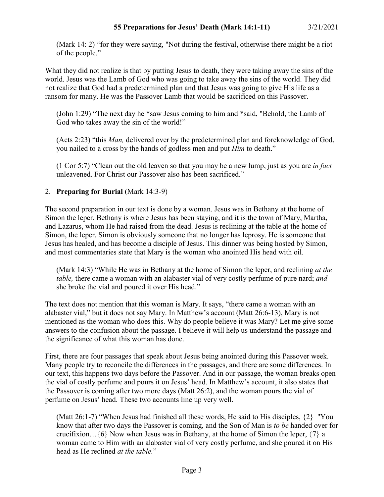(Mark 14: 2) "for they were saying, "Not during the festival, otherwise there might be a riot of the people."

What they did not realize is that by putting Jesus to death, they were taking away the sins of the world. Jesus was the Lamb of God who was going to take away the sins of the world. They did not realize that God had a predetermined plan and that Jesus was going to give His life as a ransom for many. He was the Passover Lamb that would be sacrificed on this Passover.

(John 1:29) "The next day he \*saw Jesus coming to him and \*said, "Behold, the Lamb of God who takes away the sin of the world!"

(Acts 2:23) "this *Man,* delivered over by the predetermined plan and foreknowledge of God, you nailed to a cross by the hands of godless men and put *Him* to death."

(1 Cor 5:7) "Clean out the old leaven so that you may be a new lump, just as you are *in fact* unleavened. For Christ our Passover also has been sacrificed."

# 2. **Preparing for Burial** (Mark 14:3-9)

The second preparation in our text is done by a woman. Jesus was in Bethany at the home of Simon the leper. Bethany is where Jesus has been staying, and it is the town of Mary, Martha, and Lazarus, whom He had raised from the dead. Jesus is reclining at the table at the home of Simon, the leper. Simon is obviously someone that no longer has leprosy. He is someone that Jesus has healed, and has become a disciple of Jesus. This dinner was being hosted by Simon, and most commentaries state that Mary is the woman who anointed His head with oil.

(Mark 14:3) "While He was in Bethany at the home of Simon the leper, and reclining *at the table,* there came a woman with an alabaster vial of very costly perfume of pure nard; *and* she broke the vial and poured it over His head."

The text does not mention that this woman is Mary. It says, "there came a woman with an alabaster vial," but it does not say Mary. In Matthew's account (Matt 26:6-13), Mary is not mentioned as the woman who does this. Why do people believe it was Mary? Let me give some answers to the confusion about the passage. I believe it will help us understand the passage and the significance of what this woman has done.

First, there are four passages that speak about Jesus being anointed during this Passover week. Many people try to reconcile the differences in the passages, and there are some differences. In our text, this happens two days before the Passover. And in our passage, the woman breaks open the vial of costly perfume and pours it on Jesus' head. In Matthew's account, it also states that the Passover is coming after two more days (Matt 26:2), and the woman pours the vial of perfume on Jesus' head. These two accounts line up very well.

(Matt 26:1-7) "When Jesus had finished all these words, He said to His disciples, {2} "You know that after two days the Passover is coming, and the Son of Man is *to be* handed over for crucifixion…{6} Now when Jesus was in Bethany, at the home of Simon the leper, {7} a woman came to Him with an alabaster vial of very costly perfume, and she poured it on His head as He reclined *at the table.*"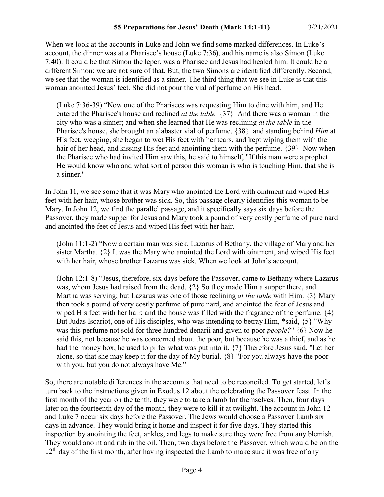When we look at the accounts in Luke and John we find some marked differences. In Luke's account, the dinner was at a Pharisee's house (Luke 7:36), and his name is also Simon (Luke 7:40). It could be that Simon the leper, was a Pharisee and Jesus had healed him. It could be a different Simon; we are not sure of that. But, the two Simons are identified differently. Second, we see that the woman is identified as a sinner. The third thing that we see in Luke is that this woman anointed Jesus' feet. She did not pour the vial of perfume on His head.

(Luke 7:36-39) "Now one of the Pharisees was requesting Him to dine with him, and He entered the Pharisee's house and reclined *at the table.* {37} And there was a woman in the city who was a sinner; and when she learned that He was reclining *at the table* in the Pharisee's house, she brought an alabaster vial of perfume, {38} and standing behind *Him* at His feet, weeping, she began to wet His feet with her tears, and kept wiping them with the hair of her head, and kissing His feet and anointing them with the perfume. {39} Now when the Pharisee who had invited Him saw this, he said to himself, "If this man were a prophet He would know who and what sort of person this woman is who is touching Him, that she is a sinner."

In John 11, we see some that it was Mary who anointed the Lord with ointment and wiped His feet with her hair, whose brother was sick. So, this passage clearly identifies this woman to be Mary. In John 12, we find the parallel passage, and it specifically says six days before the Passover, they made supper for Jesus and Mary took a pound of very costly perfume of pure nard and anointed the feet of Jesus and wiped His feet with her hair.

(John 11:1-2) "Now a certain man was sick, Lazarus of Bethany, the village of Mary and her sister Martha.  $\{2\}$  It was the Mary who anointed the Lord with ointment, and wiped His feet with her hair, whose brother Lazarus was sick. When we look at John's account,

(John 12:1-8) "Jesus, therefore, six days before the Passover, came to Bethany where Lazarus was, whom Jesus had raised from the dead. {2} So they made Him a supper there, and Martha was serving; but Lazarus was one of those reclining *at the table* with Him. {3} Mary then took a pound of very costly perfume of pure nard, and anointed the feet of Jesus and wiped His feet with her hair; and the house was filled with the fragrance of the perfume. {4} But Judas Iscariot, one of His disciples, who was intending to betray Him, \*said, {5} "Why was this perfume not sold for three hundred denarii and given to poor *people?*" {6} Now he said this, not because he was concerned about the poor, but because he was a thief, and as he had the money box, he used to pilfer what was put into it. {7} Therefore Jesus said, "Let her alone, so that she may keep it for the day of My burial. {8} "For you always have the poor with you, but you do not always have Me."

So, there are notable differences in the accounts that need to be reconciled. To get started, let's turn back to the instructions given in Exodus 12 about the celebrating the Passover feast. In the first month of the year on the tenth, they were to take a lamb for themselves. Then, four days later on the fourteenth day of the month, they were to kill it at twilight. The account in John 12 and Luke 7 occur six days before the Passover. The Jews would choose a Passover Lamb six days in advance. They would bring it home and inspect it for five days. They started this inspection by anointing the feet, ankles, and legs to make sure they were free from any blemish. They would anoint and rub in the oil. Then, two days before the Passover, which would be on the  $12<sup>th</sup>$  day of the first month, after having inspected the Lamb to make sure it was free of any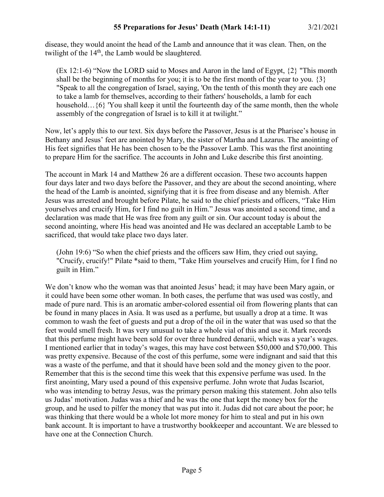disease, they would anoint the head of the Lamb and announce that it was clean. Then, on the twilight of the 14<sup>th</sup>, the Lamb would be slaughtered.

(Ex 12:1-6) "Now the LORD said to Moses and Aaron in the land of Egypt, {2} "This month shall be the beginning of months for you; it is to be the first month of the year to you.  $\{3\}$ "Speak to all the congregation of Israel, saying, 'On the tenth of this month they are each one to take a lamb for themselves, according to their fathers' households, a lamb for each household...{6} 'You shall keep it until the fourteenth day of the same month, then the whole assembly of the congregation of Israel is to kill it at twilight."

Now, let's apply this to our text. Six days before the Passover, Jesus is at the Pharisee's house in Bethany and Jesus' feet are anointed by Mary, the sister of Martha and Lazarus. The anointing of His feet signifies that He has been chosen to be the Passover Lamb. This was the first anointing to prepare Him for the sacrifice. The accounts in John and Luke describe this first anointing.

The account in Mark 14 and Matthew 26 are a different occasion. These two accounts happen four days later and two days before the Passover, and they are about the second anointing, where the head of the Lamb is anointed, signifying that it is free from disease and any blemish. After Jesus was arrested and brought before Pilate, he said to the chief priests and officers, "Take Him yourselves and crucify Him, for I find no guilt in Him." Jesus was anointed a second time, and a declaration was made that He was free from any guilt or sin. Our account today is about the second anointing, where His head was anointed and He was declared an acceptable Lamb to be sacrificed, that would take place two days later.

(John 19:6) "So when the chief priests and the officers saw Him, they cried out saying, "Crucify, crucify!" Pilate \*said to them, "Take Him yourselves and crucify Him, for I find no guilt in Him."

We don't know who the woman was that anointed Jesus' head; it may have been Mary again, or it could have been some other woman. In both cases, the perfume that was used was costly, and made of pure nard. This is an aromatic amber-colored essential oil from flowering plants that can be found in many places in Asia. It was used as a perfume, but usually a drop at a time. It was common to wash the feet of guests and put a drop of the oil in the water that was used so that the feet would smell fresh. It was very unusual to take a whole vial of this and use it. Mark records that this perfume might have been sold for over three hundred denarii, which was a year's wages. I mentioned earlier that in today's wages, this may have cost between \$50,000 and \$70,000. This was pretty expensive. Because of the cost of this perfume, some were indignant and said that this was a waste of the perfume, and that it should have been sold and the money given to the poor. Remember that this is the second time this week that this expensive perfume was used. In the first anointing, Mary used a pound of this expensive perfume. John wrote that Judas Iscariot, who was intending to betray Jesus, was the primary person making this statement. John also tells us Judas' motivation. Judas was a thief and he was the one that kept the money box for the group, and he used to pilfer the money that was put into it. Judas did not care about the poor; he was thinking that there would be a whole lot more money for him to steal and put in his own bank account. It is important to have a trustworthy bookkeeper and accountant. We are blessed to have one at the Connection Church.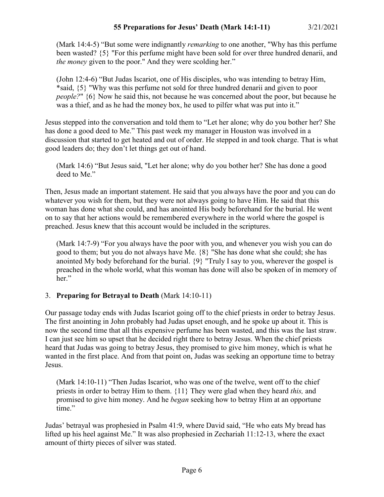(Mark 14:4-5) "But some were indignantly *remarking* to one another, "Why has this perfume been wasted? {5} "For this perfume might have been sold for over three hundred denarii, and *the money* given to the poor." And they were scolding her."

(John 12:4-6) "But Judas Iscariot, one of His disciples, who was intending to betray Him, \*said, {5} "Why was this perfume not sold for three hundred denarii and given to poor *people?*" {6} Now he said this, not because he was concerned about the poor, but because he was a thief, and as he had the money box, he used to pilfer what was put into it."

Jesus stepped into the conversation and told them to "Let her alone; why do you bother her? She has done a good deed to Me." This past week my manager in Houston was involved in a discussion that started to get heated and out of order. He stepped in and took charge. That is what good leaders do; they don't let things get out of hand.

(Mark 14:6) "But Jesus said, "Let her alone; why do you bother her? She has done a good deed to Me."

Then, Jesus made an important statement. He said that you always have the poor and you can do whatever you wish for them, but they were not always going to have Him. He said that this woman has done what she could, and has anointed His body beforehand for the burial. He went on to say that her actions would be remembered everywhere in the world where the gospel is preached. Jesus knew that this account would be included in the scriptures.

(Mark 14:7-9) "For you always have the poor with you, and whenever you wish you can do good to them; but you do not always have Me. {8} "She has done what she could; she has anointed My body beforehand for the burial. {9} "Truly I say to you, wherever the gospel is preached in the whole world, what this woman has done will also be spoken of in memory of her."

# 3. **Preparing for Betrayal to Death** (Mark 14:10-11)

Our passage today ends with Judas Iscariot going off to the chief priests in order to betray Jesus. The first anointing in John probably had Judas upset enough, and he spoke up about it. This is now the second time that all this expensive perfume has been wasted, and this was the last straw. I can just see him so upset that he decided right there to betray Jesus. When the chief priests heard that Judas was going to betray Jesus, they promised to give him money, which is what he wanted in the first place. And from that point on, Judas was seeking an opportune time to betray Jesus.

(Mark 14:10-11) "Then Judas Iscariot, who was one of the twelve, went off to the chief priests in order to betray Him to them. {11} They were glad when they heard *this,* and promised to give him money. And he *began* seeking how to betray Him at an opportune time."

Judas' betrayal was prophesied in Psalm 41:9, where David said, "He who eats My bread has lifted up his heel against Me." It was also prophesied in Zechariah 11:12-13, where the exact amount of thirty pieces of silver was stated.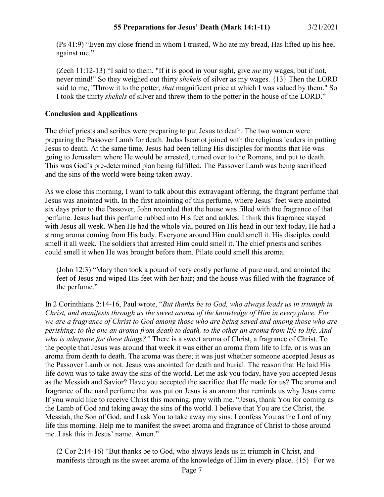(Ps 41:9) "Even my close friend in whom I trusted, Who ate my bread, Has lifted up his heel against me."

(Zech 11:12-13) "I said to them, "If it is good in your sight, give *me* my wages; but if not, never mind!" So they weighed out thirty *shekels* of silver as my wages. {13} Then the LORD said to me, "Throw it to the potter, *that* magnificent price at which I was valued by them." So I took the thirty *shekels* of silver and threw them to the potter in the house of the LORD."

### **Conclusion and Applications**

The chief priests and scribes were preparing to put Jesus to death. The two women were preparing the Passover Lamb for death. Judas Iscariot joined with the religious leaders in putting Jesus to death. At the same time, Jesus had been telling His disciples for months that He was going to Jerusalem where He would be arrested, turned over to the Romans, and put to death. This was God's pre-determined plan being fulfilled. The Passover Lamb was being sacrificed and the sins of the world were being taken away.

As we close this morning, I want to talk about this extravagant offering, the fragrant perfume that Jesus was anointed with. In the first anointing of this perfume, where Jesus' feet were anointed six days prior to the Passover, John recorded that the house was filled with the fragrance of that perfume. Jesus had this perfume rubbed into His feet and ankles. I think this fragrance stayed with Jesus all week. When He had the whole vial poured on His head in our text today, He had a strong aroma coming from His body. Everyone around Him could smell it. His disciples could smell it all week. The soldiers that arrested Him could smell it. The chief priests and scribes could smell it when He was brought before them. Pilate could smell this aroma.

(John 12:3) "Mary then took a pound of very costly perfume of pure nard, and anointed the feet of Jesus and wiped His feet with her hair; and the house was filled with the fragrance of the perfume."

In 2 Corinthians 2:14-16, Paul wrote, "*But thanks be to God, who always leads us in triumph in Christ, and manifests through us the sweet aroma of the knowledge of Him in every place. For we are a fragrance of Christ to God among those who are being saved and among those who are perishing; to the one an aroma from death to death, to the other an aroma from life to life. And who is adequate for these things?"* There is a sweet aroma of Christ, a fragrance of Christ. To the people that Jesus was around that week it was either an aroma from life to life, or is was an aroma from death to death. The aroma was there; it was just whether someone accepted Jesus as the Passover Lamb or not. Jesus was anointed for death and burial. The reason that He laid His life down was to take away the sins of the world. Let me ask you today, have you accepted Jesus as the Messiah and Savior? Have you accepted the sacrifice that He made for us? The aroma and fragrance of the nard perfume that was put on Jesus is an aroma that reminds us why Jesus came. If you would like to receive Christ this morning, pray with me. "Jesus, thank You for coming as the Lamb of God and taking away the sins of the world. I believe that You are the Christ, the Messiah, the Son of God, and I ask You to take away my sins. I confess You as the Lord of my life this morning. Help me to manifest the sweet aroma and fragrance of Christ to those around me. I ask this in Jesus' name. Amen."

(2 Cor 2:14-16) "But thanks be to God, who always leads us in triumph in Christ, and manifests through us the sweet aroma of the knowledge of Him in every place. {15} For we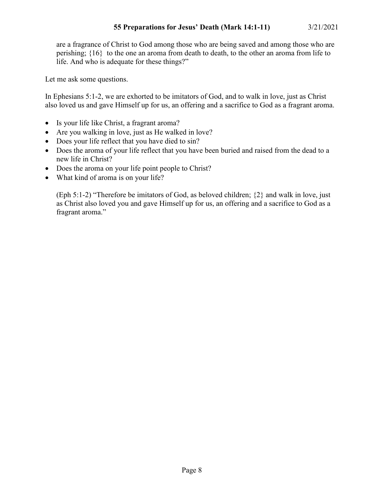are a fragrance of Christ to God among those who are being saved and among those who are perishing; {16} to the one an aroma from death to death, to the other an aroma from life to life. And who is adequate for these things?"

Let me ask some questions.

In Ephesians 5:1-2, we are exhorted to be imitators of God, and to walk in love, just as Christ also loved us and gave Himself up for us, an offering and a sacrifice to God as a fragrant aroma.

- Is your life like Christ, a fragrant aroma?
- Are you walking in love, just as He walked in love?
- Does your life reflect that you have died to sin?
- Does the aroma of your life reflect that you have been buried and raised from the dead to a new life in Christ?
- Does the aroma on your life point people to Christ?
- What kind of aroma is on your life?

(Eph 5:1-2) "Therefore be imitators of God, as beloved children; {2} and walk in love, just as Christ also loved you and gave Himself up for us, an offering and a sacrifice to God as a fragrant aroma."